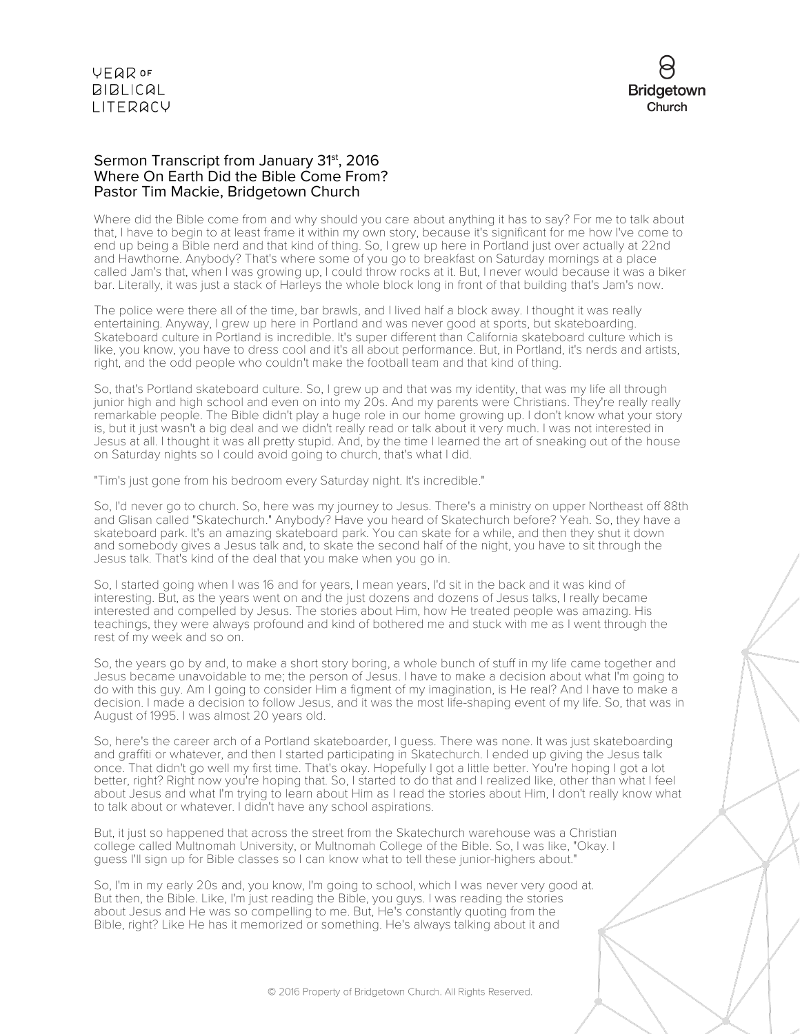

#### Sermon Transcript from January 31<sup>st</sup>, 2016 Where On Earth Did the Bible Come From? Pastor Tim Mackie, Bridgetown Church

Where did the Bible come from and why should you care about anything it has to say? For me to talk about that, I have to begin to at least frame it within my own story, because it's significant for me how I've come to end up being a Bible nerd and that kind of thing. So, I grew up here in Portland just over actually at 22nd and Hawthorne. Anybody? That's where some of you go to breakfast on Saturday mornings at a place called Jam's that, when I was growing up, I could throw rocks at it. But, I never would because it was a biker bar. Literally, it was just a stack of Harleys the whole block long in front of that building that's Jam's now.

The police were there all of the time, bar brawls, and I lived half a block away. I thought it was really entertaining. Anyway, I grew up here in Portland and was never good at sports, but skateboarding. Skateboard culture in Portland is incredible. It's super different than California skateboard culture which is like, you know, you have to dress cool and it's all about performance. But, in Portland, it's nerds and artists, right, and the odd people who couldn't make the football team and that kind of thing.

So, that's Portland skateboard culture. So, I grew up and that was my identity, that was my life all through junior high and high school and even on into my 20s. And my parents were Christians. They're really really remarkable people. The Bible didn't play a huge role in our home growing up. I don't know what your story is, but it just wasn't a big deal and we didn't really read or talk about it very much. I was not interested in Jesus at all. I thought it was all pretty stupid. And, by the time I learned the art of sneaking out of the house on Saturday nights so I could avoid going to church, that's what I did.

"Tim's just gone from his bedroom every Saturday night. It's incredible."

So, I'd never go to church. So, here was my journey to Jesus. There's a ministry on upper Northeast off 88th and Glisan called "Skatechurch." Anybody? Have you heard of Skatechurch before? Yeah. So, they have a skateboard park. It's an amazing skateboard park. You can skate for a while, and then they shut it down and somebody gives a Jesus talk and, to skate the second half of the night, you have to sit through the Jesus talk. That's kind of the deal that you make when you go in.

So, I started going when I was 16 and for years, I mean years, I'd sit in the back and it was kind of interesting. But, as the years went on and the just dozens and dozens of Jesus talks, I really became interested and compelled by Jesus. The stories about Him, how He treated people was amazing. His teachings, they were always profound and kind of bothered me and stuck with me as I went through the rest of my week and so on.

So, the years go by and, to make a short story boring, a whole bunch of stuff in my life came together and Jesus became unavoidable to me; the person of Jesus. I have to make a decision about what I'm going to do with this guy. Am I going to consider Him a figment of my imagination, is He real? And I have to make a decision. I made a decision to follow Jesus, and it was the most life-shaping event of my life. So, that was in August of 1995. I was almost 20 years old.

So, here's the career arch of a Portland skateboarder, I guess. There was none. It was just skateboarding and graffiti or whatever, and then I started participating in Skatechurch. I ended up giving the Jesus talk once. That didn't go well my first time. That's okay. Hopefully I got a little better. You're hoping I got a lot better, right? Right now you're hoping that. So, I started to do that and I realized like, other than what I feel about Jesus and what I'm trying to learn about Him as I read the stories about Him, I don't really know what to talk about or whatever. I didn't have any school aspirations.

But, it just so happened that across the street from the Skatechurch warehouse was a Christian college called Multnomah University, or Multnomah College of the Bible. So, I was like, "Okay. I guess I'll sign up for Bible classes so I can know what to tell these junior-highers about."

So, I'm in my early 20s and, you know, I'm going to school, which I was never very good at. But then, the Bible. Like, I'm just reading the Bible, you guys. I was reading the stories about Jesus and He was so compelling to me. But, He's constantly quoting from the Bible, right? Like He has it memorized or something. He's always talking about it and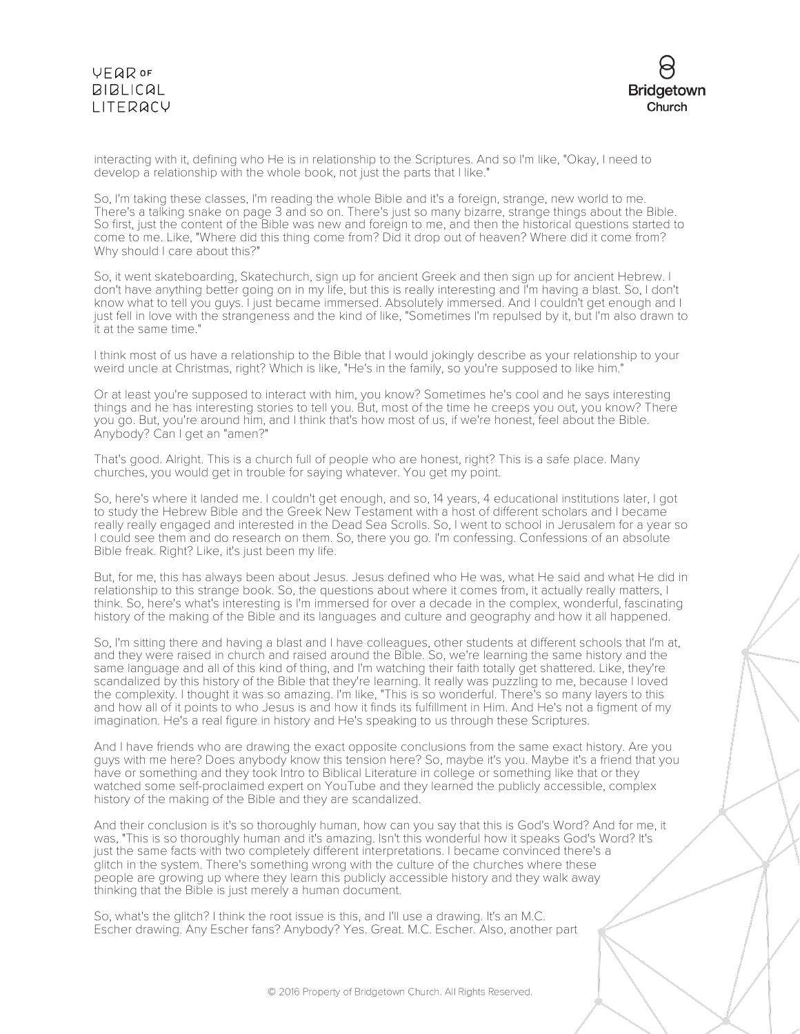# VEQROF **BIBLICAL** LITERACY



interacting with it, defining who He is in relationship to the Scriptures. And so I'm like, "Okay, I need to develop a relationship with the whole book, not just the parts that I like."

So, I'm taking these classes, I'm reading the whole Bible and it's a foreign, strange, new world to me. There's a talking snake on page 3 and so on. There's just so many bizarre, strange things about the Bible. So first, just the content of the Bible was new and foreign to me, and then the historical questions started to come to me. Like, "Where did this thing come from? Did it drop out of heaven? Where did it come from? Why should I care about this?"

So, it went skateboarding, Skatechurch, sign up for ancient Greek and then sign up for ancient Hebrew. I don't have anything better going on in my life, but this is really interesting and I'm having a blast. So, I don't know what to tell you guys. I just became immersed. Absolutely immersed. And I couldn't get enough and I just fell in love with the strangeness and the kind of like, "Sometimes I'm repulsed by it, but I'm also drawn to it at the same time."

I think most of us have a relationship to the Bible that I would jokingly describe as your relationship to your weird uncle at Christmas, right? Which is like, "He's in the family, so you're supposed to like him."

Or at least you're supposed to interact with him, you know? Sometimes he's cool and he says interesting things and he has interesting stories to tell you. But, most of the time he creeps you out, you know? There you go. But, you're around him, and I think that's how most of us, if we're honest, feel about the Bible. Anybody? Can I get an "amen?"

That's good. Alright. This is a church full of people who are honest, right? This is a safe place. Many churches, you would get in trouble for saying whatever. You get my point.

So, here's where it landed me. I couldn't get enough, and so, 14 years, 4 educational institutions later, I got to study the Hebrew Bible and the Greek New Testament with a host of different scholars and I became really really engaged and interested in the Dead Sea Scrolls. So, I went to school in Jerusalem for a year so I could see them and do research on them. So, there you go. I'm confessing. Confessions of an absolute Bible freak. Right? Like, it's just been my life.

But, for me, this has always been about Jesus. Jesus defined who He was, what He said and what He did in relationship to this strange book. So, the questions about where it comes from, it actually really matters, I think. So, here's what's interesting is I'm immersed for over a decade in the complex, wonderful, fascinating history of the making of the Bible and its languages and culture and geography and how it all happened.

So, I'm sitting there and having a blast and I have colleagues, other students at different schools that I'm at, and they were raised in church and raised around the Bible. So, we're learning the same history and the same language and all of this kind of thing, and I'm watching their faith totally get shattered. Like, they're scandalized by this history of the Bible that they're learning. It really was puzzling to me, because I loved the complexity. I thought it was so amazing. I'm like, "This is so wonderful. There's so many layers to this and how all of it points to who Jesus is and how it finds its fulfillment in Him. And He's not a figment of my imagination. He's a real figure in history and He's speaking to us through these Scriptures.

And I have friends who are drawing the exact opposite conclusions from the same exact history. Are you guys with me here? Does anybody know this tension here? So, maybe it's you. Maybe it's a friend that you have or something and they took Intro to Biblical Literature in college or something like that or they watched some self-proclaimed expert on YouTube and they learned the publicly accessible, complex history of the making of the Bible and they are scandalized.

And their conclusion is it's so thoroughly human, how can you say that this is God's Word? And for me, it was, "This is so thoroughly human and it's amazing. Isn't this wonderful how it speaks God's Word? It's just the same facts with two completely different interpretations. I became convinced there's a glitch in the system. There's something wrong with the culture of the churches where these people are growing up where they learn this publicly accessible history and they walk away thinking that the Bible is just merely a human document.

So, what's the glitch? I think the root issue is this, and I'll use a drawing. It's an M.C. Escher drawing. Any Escher fans? Anybody? Yes. Great. M.C. Escher. Also, another part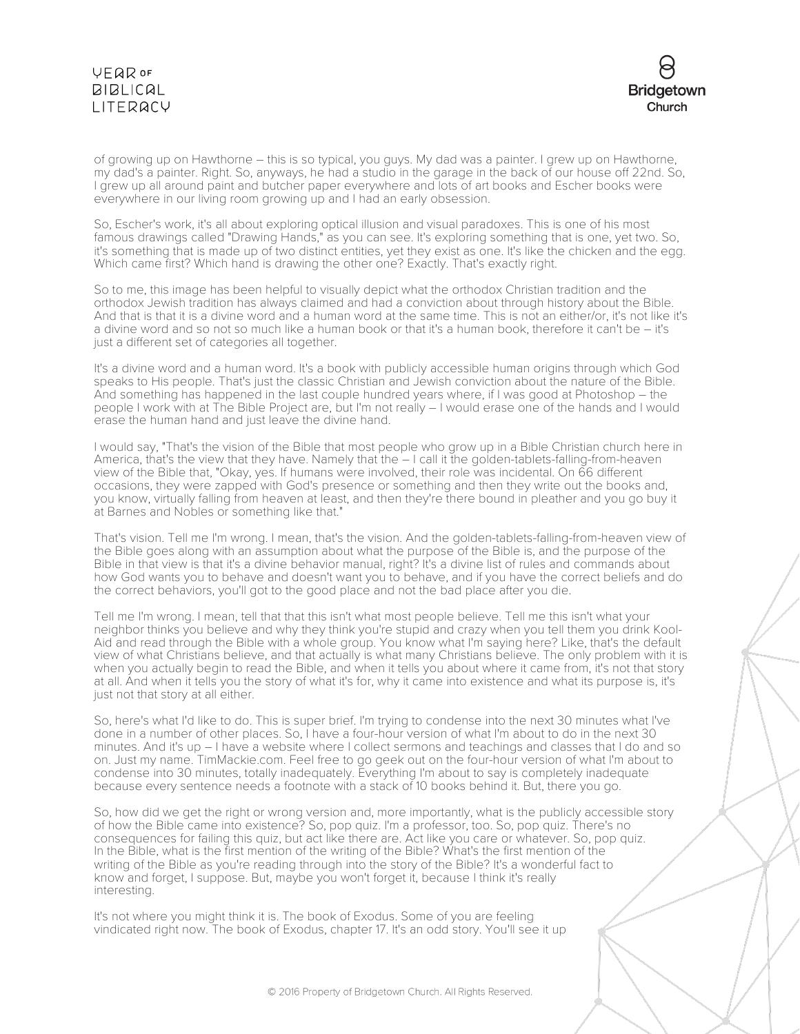# VEQROF **BIBLICAL** LITERACY



of growing up on Hawthorne – this is so typical, you guys. My dad was a painter. I grew up on Hawthorne, my dad's a painter. Right. So, anyways, he had a studio in the garage in the back of our house off 22nd. So, I grew up all around paint and butcher paper everywhere and lots of art books and Escher books were everywhere in our living room growing up and I had an early obsession.

So, Escher's work, it's all about exploring optical illusion and visual paradoxes. This is one of his most famous drawings called "Drawing Hands," as you can see. It's exploring something that is one, yet two. So, it's something that is made up of two distinct entities, yet they exist as one. It's like the chicken and the egg. Which came first? Which hand is drawing the other one? Exactly. That's exactly right.

So to me, this image has been helpful to visually depict what the orthodox Christian tradition and the orthodox Jewish tradition has always claimed and had a conviction about through history about the Bible. And that is that it is a divine word and a human word at the same time. This is not an either/or, it's not like it's a divine word and so not so much like a human book or that it's a human book, therefore it can't be – it's just a different set of categories all together.

It's a divine word and a human word. It's a book with publicly accessible human origins through which God speaks to His people. That's just the classic Christian and Jewish conviction about the nature of the Bible. And something has happened in the last couple hundred years where, if I was good at Photoshop – the people I work with at The Bible Project are, but I'm not really – I would erase one of the hands and I would erase the human hand and just leave the divine hand.

I would say, "That's the vision of the Bible that most people who grow up in a Bible Christian church here in America, that's the view that they have. Namely that the  $-1$  call it the golden-tablets-falling-from-heaven view of the Bible that, "Okay, yes. If humans were involved, their role was incidental. On 66 different occasions, they were zapped with God's presence or something and then they write out the books and, you know, virtually falling from heaven at least, and then they're there bound in pleather and you go buy it at Barnes and Nobles or something like that."

That's vision. Tell me I'm wrong. I mean, that's the vision. And the golden-tablets-falling-from-heaven view of the Bible goes along with an assumption about what the purpose of the Bible is, and the purpose of the Bible in that view is that it's a divine behavior manual, right? It's a divine list of rules and commands about how God wants you to behave and doesn't want you to behave, and if you have the correct beliefs and do the correct behaviors, you'll got to the good place and not the bad place after you die.

Tell me I'm wrong. I mean, tell that that this isn't what most people believe. Tell me this isn't what your neighbor thinks you believe and why they think you're stupid and crazy when you tell them you drink Kool-Aid and read through the Bible with a whole group. You know what I'm saying here? Like, that's the default view of what Christians believe, and that actually is what many Christians believe. The only problem with it is when you actually begin to read the Bible, and when it tells you about where it came from, it's not that story at all. And when it tells you the story of what it's for, why it came into existence and what its purpose is, it's just not that story at all either.

So, here's what I'd like to do. This is super brief. I'm trying to condense into the next 30 minutes what I've done in a number of other places. So, I have a four-hour version of what I'm about to do in the next 30 minutes. And it's up – I have a website where I collect sermons and teachings and classes that I do and so on. Just my name. TimMackie.com. Feel free to go geek out on the four-hour version of what I'm about to condense into 30 minutes, totally inadequately. Everything I'm about to say is completely inadequate because every sentence needs a footnote with a stack of 10 books behind it. But, there you go.

So, how did we get the right or wrong version and, more importantly, what is the publicly accessible story of how the Bible came into existence? So, pop quiz. I'm a professor, too. So, pop quiz. There's no consequences for failing this quiz, but act like there are. Act like you care or whatever. So, pop quiz. In the Bible, what is the first mention of the writing of the Bible? What's the first mention of the writing of the Bible as you're reading through into the story of the Bible? It's a wonderful fact to know and forget, I suppose. But, maybe you won't forget it, because I think it's really interesting.

It's not where you might think it is. The book of Exodus. Some of you are feeling vindicated right now. The book of Exodus, chapter 17. It's an odd story. You'll see it up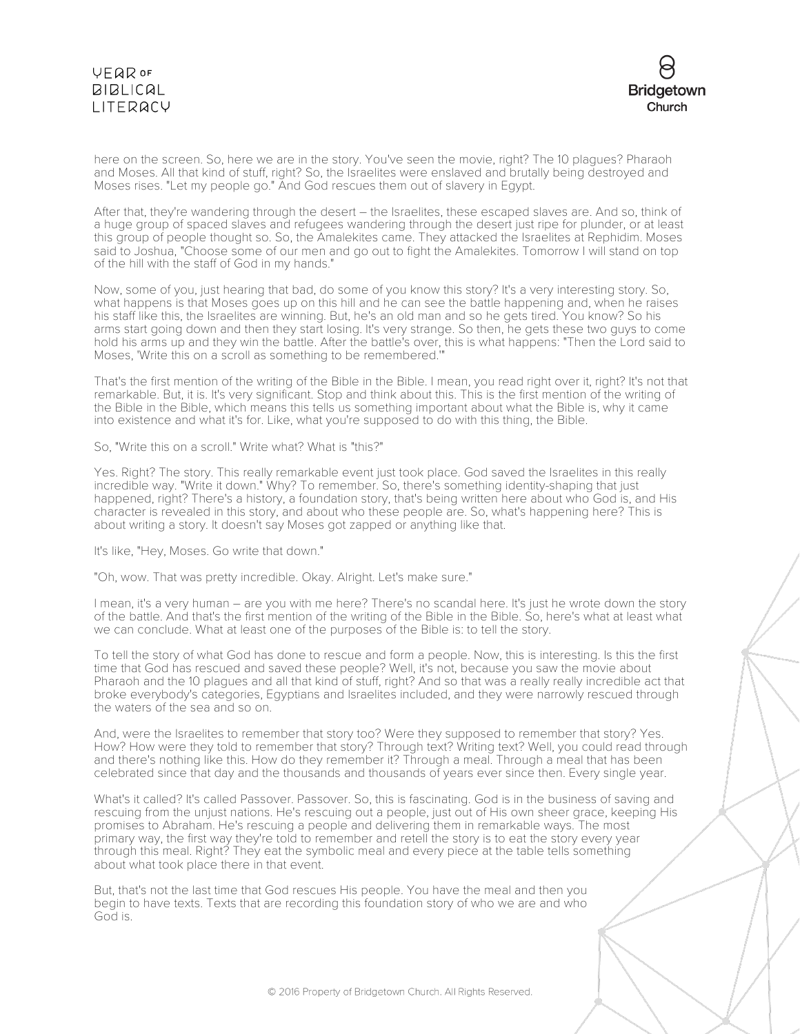# **VFQR OF**  $BIBLICAL$ LITERACY



here on the screen. So, here we are in the story. You've seen the movie, right? The 10 plagues? Pharaoh and Moses. All that kind of stuff, right? So, the Israelites were enslaved and brutally being destroyed and Moses rises. "Let my people go." And God rescues them out of slavery in Egypt.

After that, they're wandering through the desert – the Israelites, these escaped slaves are. And so, think of a huge group of spaced slaves and refugees wandering through the desert just ripe for plunder, or at least this group of people thought so. So, the Amalekites came. They attacked the Israelites at Rephidim. Moses said to Joshua, "Choose some of our men and go out to fight the Amalekites. Tomorrow I will stand on top of the hill with the staff of God in my hands."

Now, some of you, just hearing that bad, do some of you know this story? It's a very interesting story. So, what happens is that Moses goes up on this hill and he can see the battle happening and, when he raises his staff like this, the Israelites are winning. But, he's an old man and so he gets tired. You know? So his arms start going down and then they start losing. It's very strange. So then, he gets these two guys to come hold his arms up and they win the battle. After the battle's over, this is what happens: "Then the Lord said to Moses, 'Write this on a scroll as something to be remembered.'"

That's the first mention of the writing of the Bible in the Bible. I mean, you read right over it, right? It's not that remarkable. But, it is. It's very significant. Stop and think about this. This is the first mention of the writing of the Bible in the Bible, which means this tells us something important about what the Bible is, why it came into existence and what it's for. Like, what you're supposed to do with this thing, the Bible.

So, "Write this on a scroll." Write what? What is "this?"

Yes. Right? The story. This really remarkable event just took place. God saved the Israelites in this really incredible way. "Write it down." Why? To remember. So, there's something identity-shaping that just happened, right? There's a history, a foundation story, that's being written here about who God is, and His character is revealed in this story, and about who these people are. So, what's happening here? This is about writing a story. It doesn't say Moses got zapped or anything like that.

It's like, "Hey, Moses. Go write that down."

"Oh, wow. That was pretty incredible. Okay. Alright. Let's make sure."

I mean, it's a very human – are you with me here? There's no scandal here. It's just he wrote down the story of the battle. And that's the first mention of the writing of the Bible in the Bible. So, here's what at least what we can conclude. What at least one of the purposes of the Bible is: to tell the story.

To tell the story of what God has done to rescue and form a people. Now, this is interesting. Is this the first time that God has rescued and saved these people? Well, it's not, because you saw the movie about Pharaoh and the 10 plagues and all that kind of stuff, right? And so that was a really really incredible act that broke everybody's categories, Egyptians and Israelites included, and they were narrowly rescued through the waters of the sea and so on.

And, were the Israelites to remember that story too? Were they supposed to remember that story? Yes. How? How were they told to remember that story? Through text? Writing text? Well, you could read through and there's nothing like this. How do they remember it? Through a meal. Through a meal that has been celebrated since that day and the thousands and thousands of years ever since then. Every single year.

What's it called? It's called Passover. Passover. So, this is fascinating. God is in the business of saving and rescuing from the unjust nations. He's rescuing out a people, just out of His own sheer grace, keeping His promises to Abraham. He's rescuing a people and delivering them in remarkable ways. The most primary way, the first way they're told to remember and retell the story is to eat the story every year through this meal. Right? They eat the symbolic meal and every piece at the table tells something about what took place there in that event.

But, that's not the last time that God rescues His people. You have the meal and then you begin to have texts. Texts that are recording this foundation story of who we are and who God is.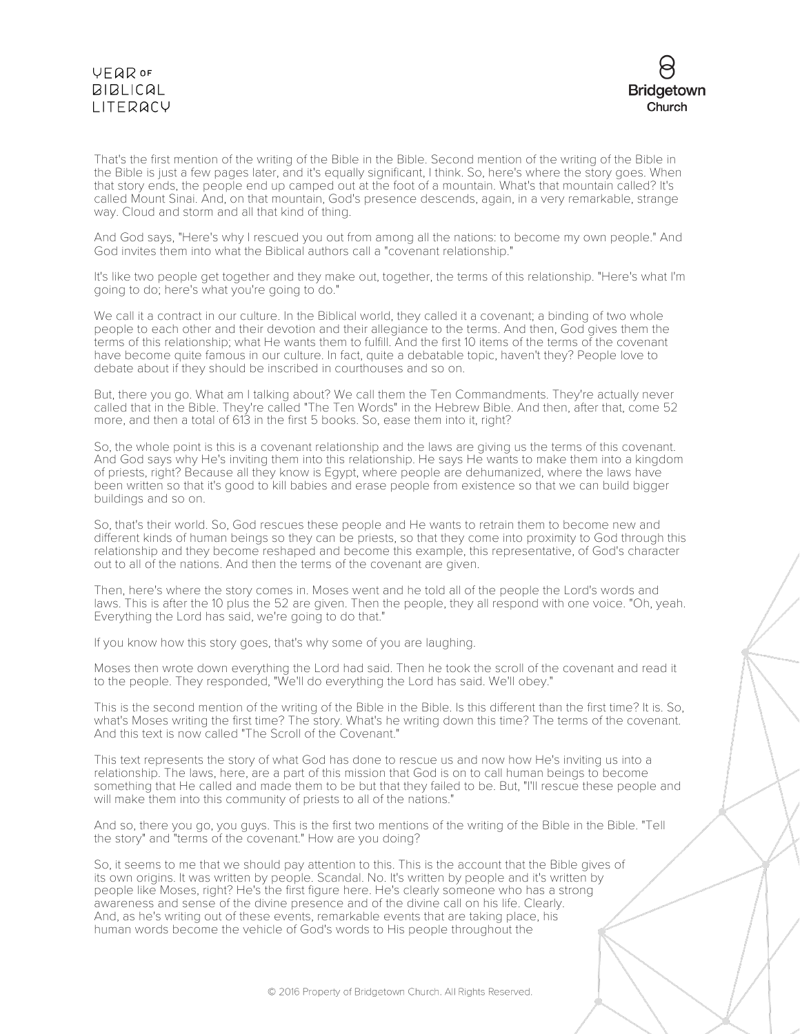# VEQROF **BIBLICAL I ITFRACY**



That's the first mention of the writing of the Bible in the Bible. Second mention of the writing of the Bible in the Bible is just a few pages later, and it's equally significant, I think. So, here's where the story goes. When that story ends, the people end up camped out at the foot of a mountain. What's that mountain called? It's called Mount Sinai. And, on that mountain, God's presence descends, again, in a very remarkable, strange way. Cloud and storm and all that kind of thing.

And God says, "Here's why I rescued you out from among all the nations: to become my own people." And God invites them into what the Biblical authors call a "covenant relationship."

It's like two people get together and they make out, together, the terms of this relationship. "Here's what I'm going to do; here's what you're going to do."

We call it a contract in our culture. In the Biblical world, they called it a covenant; a binding of two whole people to each other and their devotion and their allegiance to the terms. And then, God gives them the terms of this relationship; what He wants them to fulfill. And the first 10 items of the terms of the covenant have become quite famous in our culture. In fact, quite a debatable topic, haven't they? People love to debate about if they should be inscribed in courthouses and so on.

But, there you go. What am I talking about? We call them the Ten Commandments. They're actually never called that in the Bible. They're called "The Ten Words" in the Hebrew Bible. And then, after that, come 52 more, and then a total of 613 in the first 5 books. So, ease them into it, right?

So, the whole point is this is a covenant relationship and the laws are giving us the terms of this covenant. And God says why He's inviting them into this relationship. He says He wants to make them into a kingdom of priests, right? Because all they know is Egypt, where people are dehumanized, where the laws have been written so that it's good to kill babies and erase people from existence so that we can build bigger buildings and so on.

So, that's their world. So, God rescues these people and He wants to retrain them to become new and different kinds of human beings so they can be priests, so that they come into proximity to God through this relationship and they become reshaped and become this example, this representative, of God's character out to all of the nations. And then the terms of the covenant are given.

Then, here's where the story comes in. Moses went and he told all of the people the Lord's words and laws. This is after the 10 plus the 52 are given. Then the people, they all respond with one voice. "Oh, yeah. Everything the Lord has said, we're going to do that."

If you know how this story goes, that's why some of you are laughing.

Moses then wrote down everything the Lord had said. Then he took the scroll of the covenant and read it to the people. They responded, "We'll do everything the Lord has said. We'll obey."

This is the second mention of the writing of the Bible in the Bible. Is this different than the first time? It is. So, what's Moses writing the first time? The story. What's he writing down this time? The terms of the covenant. And this text is now called "The Scroll of the Covenant."

This text represents the story of what God has done to rescue us and now how He's inviting us into a relationship. The laws, here, are a part of this mission that God is on to call human beings to become something that He called and made them to be but that they failed to be. But, "I'll rescue these people and will make them into this community of priests to all of the nations."

And so, there you go, you guys. This is the first two mentions of the writing of the Bible in the Bible. "Tell the story" and "terms of the covenant." How are you doing?

So, it seems to me that we should pay attention to this. This is the account that the Bible gives of its own origins. It was written by people. Scandal. No. It's written by people and it's written by people like Moses, right? He's the first figure here. He's clearly someone who has a strong awareness and sense of the divine presence and of the divine call on his life. Clearly. And, as he's writing out of these events, remarkable events that are taking place, his human words become the vehicle of God's words to His people throughout the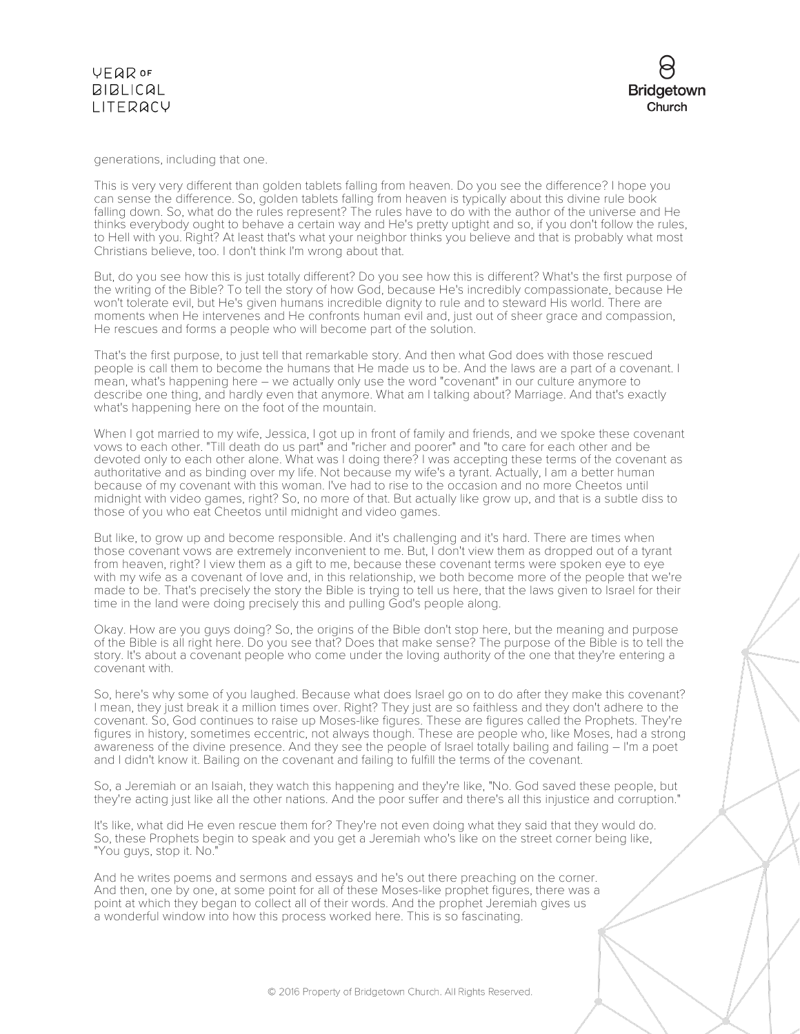



generations, including that one.

This is very very different than golden tablets falling from heaven. Do you see the difference? I hope you can sense the difference. So, golden tablets falling from heaven is typically about this divine rule book falling down. So, what do the rules represent? The rules have to do with the author of the universe and He thinks everybody ought to behave a certain way and He's pretty uptight and so, if you don't follow the rules, to Hell with you. Right? At least that's what your neighbor thinks you believe and that is probably what most Christians believe, too. I don't think I'm wrong about that.

But, do you see how this is just totally different? Do you see how this is different? What's the first purpose of the writing of the Bible? To tell the story of how God, because He's incredibly compassionate, because He won't tolerate evil, but He's given humans incredible dignity to rule and to steward His world. There are moments when He intervenes and He confronts human evil and, just out of sheer grace and compassion, He rescues and forms a people who will become part of the solution.

That's the first purpose, to just tell that remarkable story. And then what God does with those rescued people is call them to become the humans that He made us to be. And the laws are a part of a covenant. I mean, what's happening here – we actually only use the word "covenant" in our culture anymore to describe one thing, and hardly even that anymore. What am I talking about? Marriage. And that's exactly what's happening here on the foot of the mountain.

When I got married to my wife, Jessica, I got up in front of family and friends, and we spoke these covenant vows to each other. "Till death do us part" and "richer and poorer" and "to care for each other and be devoted only to each other alone. What was I doing there? I was accepting these terms of the covenant as authoritative and as binding over my life. Not because my wife's a tyrant. Actually, I am a better human because of my covenant with this woman. I've had to rise to the occasion and no more Cheetos until midnight with video games, right? So, no more of that. But actually like grow up, and that is a subtle diss to those of you who eat Cheetos until midnight and video games.

But like, to grow up and become responsible. And it's challenging and it's hard. There are times when those covenant vows are extremely inconvenient to me. But, I don't view them as dropped out of a tyrant from heaven, right? I view them as a gift to me, because these covenant terms were spoken eye to eye with my wife as a covenant of love and, in this relationship, we both become more of the people that we're made to be. That's precisely the story the Bible is trying to tell us here, that the laws given to Israel for their time in the land were doing precisely this and pulling God's people along.

Okay. How are you guys doing? So, the origins of the Bible don't stop here, but the meaning and purpose of the Bible is all right here. Do you see that? Does that make sense? The purpose of the Bible is to tell the story. It's about a covenant people who come under the loving authority of the one that they're entering a covenant with.

So, here's why some of you laughed. Because what does Israel go on to do after they make this covenant? I mean, they just break it a million times over. Right? They just are so faithless and they don't adhere to the covenant. So, God continues to raise up Moses-like figures. These are figures called the Prophets. They're figures in history, sometimes eccentric, not always though. These are people who, like Moses, had a strong awareness of the divine presence. And they see the people of Israel totally bailing and failing – I'm a poet and I didn't know it. Bailing on the covenant and failing to fulfill the terms of the covenant.

So, a Jeremiah or an Isaiah, they watch this happening and they're like, "No. God saved these people, but they're acting just like all the other nations. And the poor suffer and there's all this injustice and corruption."

It's like, what did He even rescue them for? They're not even doing what they said that they would do. So, these Prophets begin to speak and you get a Jeremiah who's like on the street corner being like, "You guys, stop it. No."

And he writes poems and sermons and essays and he's out there preaching on the corner. And then, one by one, at some point for all of these Moses-like prophet figures, there was a point at which they began to collect all of their words. And the prophet Jeremiah gives us a wonderful window into how this process worked here. This is so fascinating.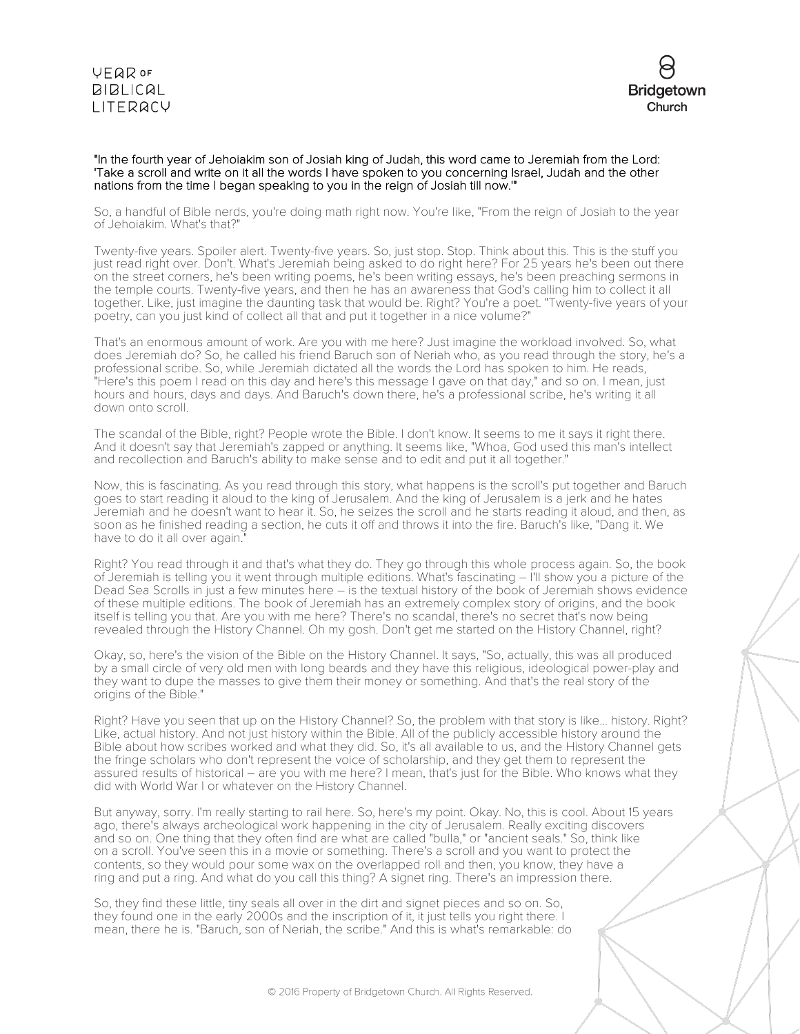#### **VFQR OF BIBLICAL** LITERACY



#### "In the fourth year of Jehoiakim son of Josiah king of Judah, this word came to Jeremiah from the Lord: 'Take a scroll and write on it all the words I have spoken to you concerning Israel, Judah and the other nations from the time I began speaking to you in the reign of Josiah till now.'"

So, a handful of Bible nerds, you're doing math right now. You're like, "From the reign of Josiah to the year of Jehoiakim. What's that?"

Twenty-five years. Spoiler alert. Twenty-five years. So, just stop. Stop. Think about this. This is the stuff you just read right over. Don't. What's Jeremiah being asked to do right here? For 25 years he's been out there on the street corners, he's been writing poems, he's been writing essays, he's been preaching sermons in the temple courts. Twenty-five years, and then he has an awareness that God's calling him to collect it all together. Like, just imagine the daunting task that would be. Right? You're a poet. "Twenty-five years of your poetry, can you just kind of collect all that and put it together in a nice volume?"

That's an enormous amount of work. Are you with me here? Just imagine the workload involved. So, what does Jeremiah do? So, he called his friend Baruch son of Neriah who, as you read through the story, he's a professional scribe. So, while Jeremiah dictated all the words the Lord has spoken to him. He reads, "Here's this poem I read on this day and here's this message I gave on that day," and so on. I mean, just hours and hours, days and days. And Baruch's down there, he's a professional scribe, he's writing it all down onto scroll.

The scandal of the Bible, right? People wrote the Bible. I don't know. It seems to me it says it right there. And it doesn't say that Jeremiah's zapped or anything. It seems like, "Whoa, God used this man's intellect and recollection and Baruch's ability to make sense and to edit and put it all together."

Now, this is fascinating. As you read through this story, what happens is the scroll's put together and Baruch goes to start reading it aloud to the king of Jerusalem. And the king of Jerusalem is a jerk and he hates Jeremiah and he doesn't want to hear it. So, he seizes the scroll and he starts reading it aloud, and then, as soon as he finished reading a section, he cuts it off and throws it into the fire. Baruch's like, "Dang it. We have to do it all over again."

Right? You read through it and that's what they do. They go through this whole process again. So, the book of Jeremiah is telling you it went through multiple editions. What's fascinating – I'll show you a picture of the Dead Sea Scrolls in just a few minutes here – is the textual history of the book of Jeremiah shows evidence of these multiple editions. The book of Jeremiah has an extremely complex story of origins, and the book itself is telling you that. Are you with me here? There's no scandal, there's no secret that's now being revealed through the History Channel. Oh my gosh. Don't get me started on the History Channel, right?

Okay, so, here's the vision of the Bible on the History Channel. It says, "So, actually, this was all produced by a small circle of very old men with long beards and they have this religious, ideological power-play and they want to dupe the masses to give them their money or something. And that's the real story of the origins of the Bible."

Right? Have you seen that up on the History Channel? So, the problem with that story is like... history. Right? Like, actual history. And not just history within the Bible. All of the publicly accessible history around the Bible about how scribes worked and what they did. So, it's all available to us, and the History Channel gets the fringe scholars who don't represent the voice of scholarship, and they get them to represent the assured results of historical – are you with me here? I mean, that's just for the Bible. Who knows what they did with World War I or whatever on the History Channel.

But anyway, sorry. I'm really starting to rail here. So, here's my point. Okay. No, this is cool. About 15 years ago, there's always archeological work happening in the city of Jerusalem. Really exciting discovers and so on. One thing that they often find are what are called "bulla," or "ancient seals." So, think like on a scroll. You've seen this in a movie or something. There's a scroll and you want to protect the contents, so they would pour some wax on the overlapped roll and then, you know, they have a ring and put a ring. And what do you call this thing? A signet ring. There's an impression there.

So, they find these little, tiny seals all over in the dirt and signet pieces and so on. So, they found one in the early 2000s and the inscription of it, it just tells you right there. I mean, there he is. "Baruch, son of Neriah, the scribe." And this is what's remarkable: do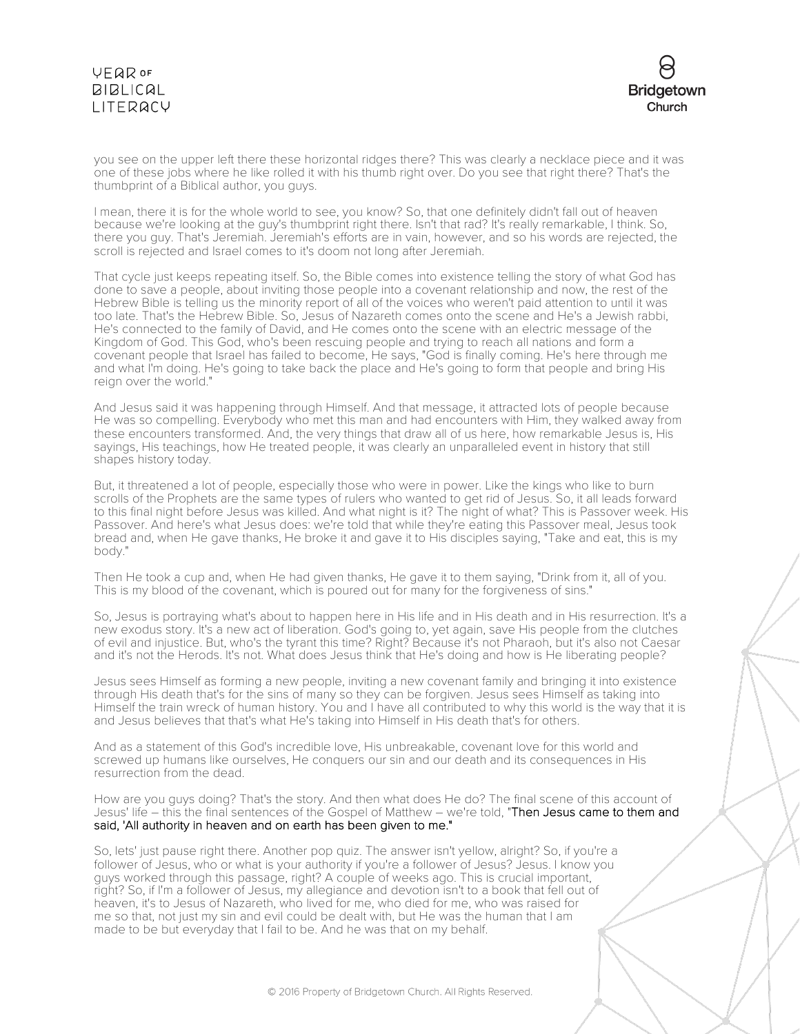# VEQROF  $BIBLICAL$ LITERACY



you see on the upper left there these horizontal ridges there? This was clearly a necklace piece and it was one of these jobs where he like rolled it with his thumb right over. Do you see that right there? That's the thumbprint of a Biblical author, you guys.

I mean, there it is for the whole world to see, you know? So, that one definitely didn't fall out of heaven because we're looking at the guy's thumbprint right there. Isn't that rad? It's really remarkable, I think. So, there you guy. That's Jeremiah. Jeremiah's efforts are in vain, however, and so his words are rejected, the scroll is rejected and Israel comes to it's doom not long after Jeremiah.

That cycle just keeps repeating itself. So, the Bible comes into existence telling the story of what God has done to save a people, about inviting those people into a covenant relationship and now, the rest of the Hebrew Bible is telling us the minority report of all of the voices who weren't paid attention to until it was too late. That's the Hebrew Bible. So, Jesus of Nazareth comes onto the scene and He's a Jewish rabbi, He's connected to the family of David, and He comes onto the scene with an electric message of the Kingdom of God. This God, who's been rescuing people and trying to reach all nations and form a covenant people that Israel has failed to become, He says, "God is finally coming. He's here through me and what I'm doing. He's going to take back the place and He's going to form that people and bring His reign over the world."

And Jesus said it was happening through Himself. And that message, it attracted lots of people because He was so compelling. Everybody who met this man and had encounters with Him, they walked away from these encounters transformed. And, the very things that draw all of us here, how remarkable Jesus is, His sayings, His teachings, how He treated people, it was clearly an unparalleled event in history that still shapes history today.

But, it threatened a lot of people, especially those who were in power. Like the kings who like to burn scrolls of the Prophets are the same types of rulers who wanted to get rid of Jesus. So, it all leads forward to this final night before Jesus was killed. And what night is it? The night of what? This is Passover week. His Passover. And here's what Jesus does: we're told that while they're eating this Passover meal, Jesus took bread and, when He gave thanks, He broke it and gave it to His disciples saying, "Take and eat, this is my body."

Then He took a cup and, when He had given thanks, He gave it to them saying, "Drink from it, all of you. This is my blood of the covenant, which is poured out for many for the forgiveness of sins."

So, Jesus is portraying what's about to happen here in His life and in His death and in His resurrection. It's a new exodus story. It's a new act of liberation. God's going to, yet again, save His people from the clutches of evil and injustice. But, who's the tyrant this time? Right? Because it's not Pharaoh, but it's also not Caesar and it's not the Herods. It's not. What does Jesus think that He's doing and how is He liberating people?

Jesus sees Himself as forming a new people, inviting a new covenant family and bringing it into existence through His death that's for the sins of many so they can be forgiven. Jesus sees Himself as taking into Himself the train wreck of human history. You and I have all contributed to why this world is the way that it is and Jesus believes that that's what He's taking into Himself in His death that's for others.

And as a statement of this God's incredible love, His unbreakable, covenant love for this world and screwed up humans like ourselves, He conquers our sin and our death and its consequences in His resurrection from the dead.

How are you guys doing? That's the story. And then what does He do? The final scene of this account of Jesus' life – this the final sentences of the Gospel of Matthew – we're told, "Then Jesus came to them and said, 'All authority in heaven and on earth has been given to me."

So, lets' just pause right there. Another pop quiz. The answer isn't yellow, alright? So, if you're a follower of Jesus, who or what is your authority if you're a follower of Jesus? Jesus. I know you guys worked through this passage, right? A couple of weeks ago. This is crucial important, right? So, if I'm a follower of Jesus, my allegiance and devotion isn't to a book that fell out of heaven, it's to Jesus of Nazareth, who lived for me, who died for me, who was raised for me so that, not just my sin and evil could be dealt with, but He was the human that I am made to be but everyday that I fail to be. And he was that on my behalf.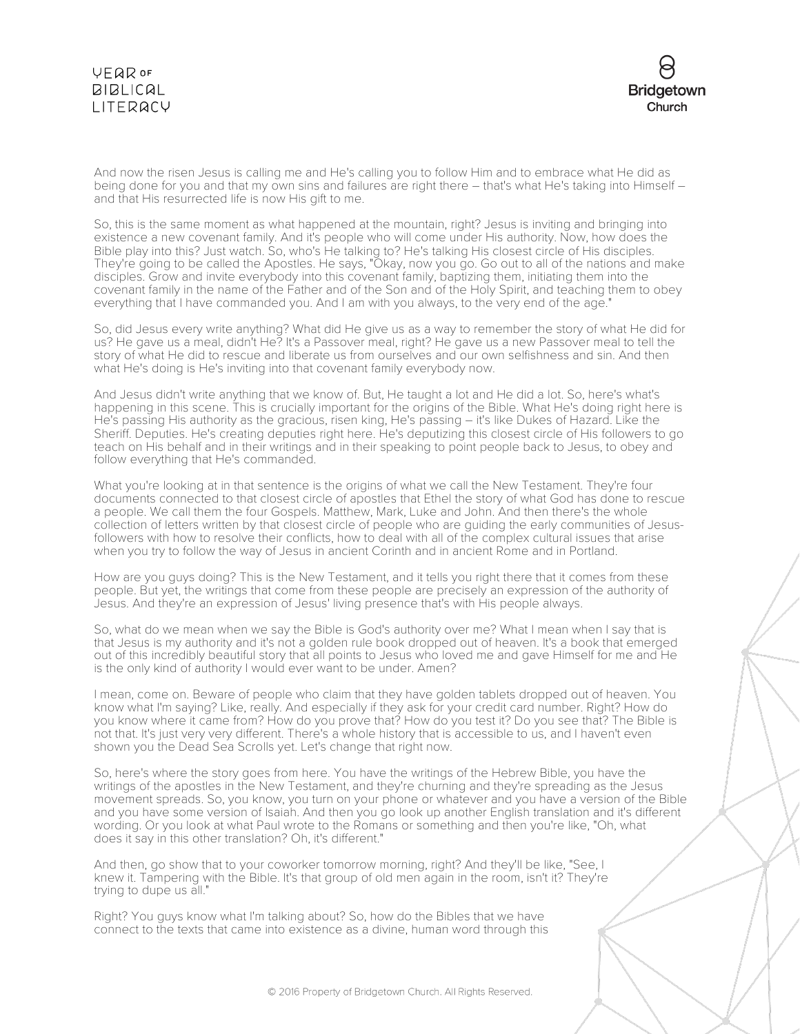# **YEQR OF BIBLICAL** LITERACY



And now the risen Jesus is calling me and He's calling you to follow Him and to embrace what He did as being done for you and that my own sins and failures are right there – that's what He's taking into Himself – and that His resurrected life is now His gift to me.

So, this is the same moment as what happened at the mountain, right? Jesus is inviting and bringing into existence a new covenant family. And it's people who will come under His authority. Now, how does the Bible play into this? Just watch. So, who's He talking to? He's talking His closest circle of His disciples. They're going to be called the Apostles. He says, "Okay, now you go. Go out to all of the nations and make disciples. Grow and invite everybody into this covenant family, baptizing them, initiating them into the covenant family in the name of the Father and of the Son and of the Holy Spirit, and teaching them to obey everything that I have commanded you. And I am with you always, to the very end of the age."

So, did Jesus every write anything? What did He give us as a way to remember the story of what He did for us? He gave us a meal, didn't He? It's a Passover meal, right? He gave us a new Passover meal to tell the story of what He did to rescue and liberate us from ourselves and our own selfishness and sin. And then what He's doing is He's inviting into that covenant family everybody now.

And Jesus didn't write anything that we know of. But, He taught a lot and He did a lot. So, here's what's happening in this scene. This is crucially important for the origins of the Bible. What He's doing right here is He's passing His authority as the gracious, risen king, He's passing – it's like Dukes of Hazard. Like the Sheriff. Deputies. He's creating deputies right here. He's deputizing this closest circle of His followers to go teach on His behalf and in their writings and in their speaking to point people back to Jesus, to obey and follow everything that He's commanded.

What you're looking at in that sentence is the origins of what we call the New Testament. They're four documents connected to that closest circle of apostles that Ethel the story of what God has done to rescue a people. We call them the four Gospels. Matthew, Mark, Luke and John. And then there's the whole collection of letters written by that closest circle of people who are guiding the early communities of Jesusfollowers with how to resolve their conflicts, how to deal with all of the complex cultural issues that arise when you try to follow the way of Jesus in ancient Corinth and in ancient Rome and in Portland.

How are you guys doing? This is the New Testament, and it tells you right there that it comes from these people. But yet, the writings that come from these people are precisely an expression of the authority of Jesus. And they're an expression of Jesus' living presence that's with His people always.

So, what do we mean when we say the Bible is God's authority over me? What I mean when I say that is that Jesus is my authority and it's not a golden rule book dropped out of heaven. It's a book that emerged out of this incredibly beautiful story that all points to Jesus who loved me and gave Himself for me and He is the only kind of authority I would ever want to be under. Amen?

I mean, come on. Beware of people who claim that they have golden tablets dropped out of heaven. You know what I'm saying? Like, really. And especially if they ask for your credit card number. Right? How do you know where it came from? How do you prove that? How do you test it? Do you see that? The Bible is not that. It's just very very different. There's a whole history that is accessible to us, and I haven't even shown you the Dead Sea Scrolls yet. Let's change that right now.

So, here's where the story goes from here. You have the writings of the Hebrew Bible, you have the writings of the apostles in the New Testament, and they're churning and they're spreading as the Jesus movement spreads. So, you know, you turn on your phone or whatever and you have a version of the Bible and you have some version of Isaiah. And then you go look up another English translation and it's different wording. Or you look at what Paul wrote to the Romans or something and then you're like, "Oh, what does it say in this other translation? Oh, it's different."

And then, go show that to your coworker tomorrow morning, right? And they'll be like, "See, I knew it. Tampering with the Bible. It's that group of old men again in the room, isn't it? They're trying to dupe us all."

Right? You guys know what I'm talking about? So, how do the Bibles that we have connect to the texts that came into existence as a divine, human word through this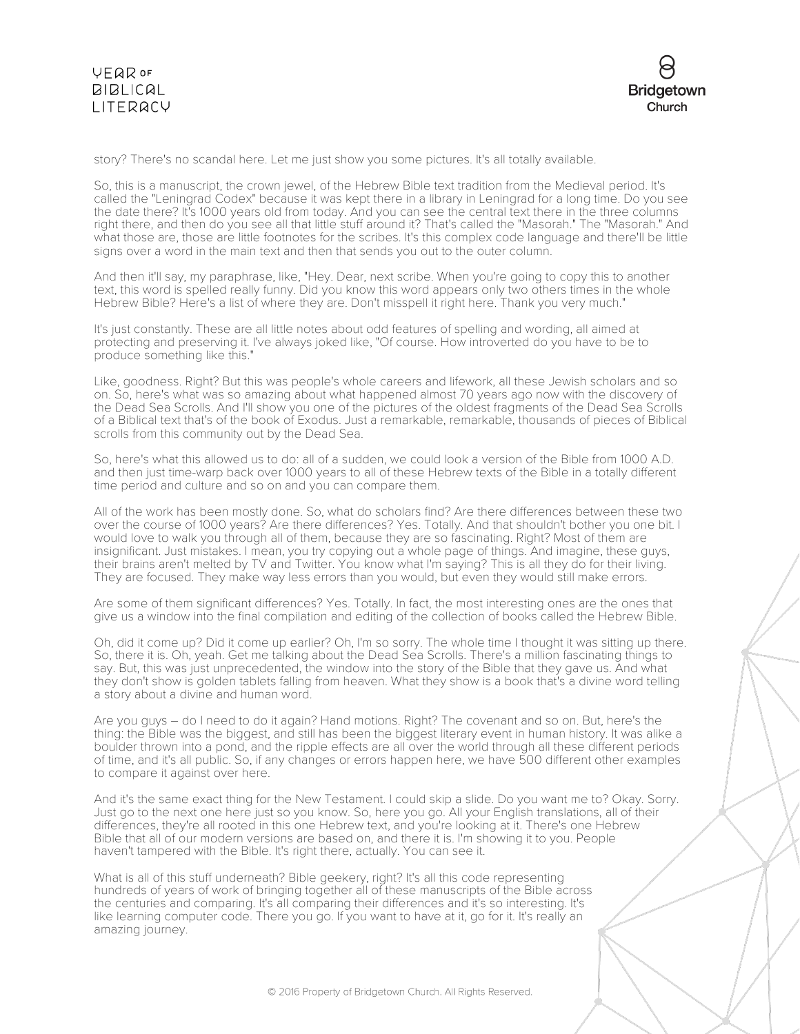

story? There's no scandal here. Let me just show you some pictures. It's all totally available.

So, this is a manuscript, the crown jewel, of the Hebrew Bible text tradition from the Medieval period. It's called the "Leningrad Codex" because it was kept there in a library in Leningrad for a long time. Do you see the date there? It's 1000 years old from today. And you can see the central text there in the three columns right there, and then do you see all that little stuff around it? That's called the "Masorah." The "Masorah." And what those are, those are little footnotes for the scribes. It's this complex code language and there'll be little signs over a word in the main text and then that sends you out to the outer column.

And then it'll say, my paraphrase, like, "Hey. Dear, next scribe. When you're going to copy this to another text, this word is spelled really funny. Did you know this word appears only two others times in the whole Hebrew Bible? Here's a list of where they are. Don't misspell it right here. Thank you very much."

It's just constantly. These are all little notes about odd features of spelling and wording, all aimed at protecting and preserving it. I've always joked like, "Of course. How introverted do you have to be to produce something like this."

Like, goodness. Right? But this was people's whole careers and lifework, all these Jewish scholars and so on. So, here's what was so amazing about what happened almost 70 years ago now with the discovery of the Dead Sea Scrolls. And I'll show you one of the pictures of the oldest fragments of the Dead Sea Scrolls of a Biblical text that's of the book of Exodus. Just a remarkable, remarkable, thousands of pieces of Biblical scrolls from this community out by the Dead Sea.

So, here's what this allowed us to do: all of a sudden, we could look a version of the Bible from 1000 A.D. and then just time-warp back over 1000 years to all of these Hebrew texts of the Bible in a totally different time period and culture and so on and you can compare them.

All of the work has been mostly done. So, what do scholars find? Are there differences between these two over the course of 1000 years? Are there differences? Yes. Totally. And that shouldn't bother you one bit. I would love to walk you through all of them, because they are so fascinating. Right? Most of them are insignificant. Just mistakes. I mean, you try copying out a whole page of things. And imagine, these guys, their brains aren't melted by TV and Twitter. You know what I'm saying? This is all they do for their living. They are focused. They make way less errors than you would, but even they would still make errors.

Are some of them significant differences? Yes. Totally. In fact, the most interesting ones are the ones that give us a window into the final compilation and editing of the collection of books called the Hebrew Bible.

Oh, did it come up? Did it come up earlier? Oh, I'm so sorry. The whole time I thought it was sitting up there. So, there it is. Oh, yeah. Get me talking about the Dead Sea Scrolls. There's a million fascinating things to say. But, this was just unprecedented, the window into the story of the Bible that they gave us. And what they don't show is golden tablets falling from heaven. What they show is a book that's a divine word telling a story about a divine and human word.

Are you guys – do I need to do it again? Hand motions. Right? The covenant and so on. But, here's the thing: the Bible was the biggest, and still has been the biggest literary event in human history. It was alike a boulder thrown into a pond, and the ripple effects are all over the world through all these different periods of time, and it's all public. So, if any changes or errors happen here, we have 500 different other examples to compare it against over here.

And it's the same exact thing for the New Testament. I could skip a slide. Do you want me to? Okay. Sorry. Just go to the next one here just so you know. So, here you go. All your English translations, all of their differences, they're all rooted in this one Hebrew text, and you're looking at it. There's one Hebrew Bible that all of our modern versions are based on, and there it is. I'm showing it to you. People haven't tampered with the Bible. It's right there, actually. You can see it.

What is all of this stuff underneath? Bible geekery, right? It's all this code representing hundreds of years of work of bringing together all of these manuscripts of the Bible across the centuries and comparing. It's all comparing their differences and it's so interesting. It's like learning computer code. There you go. If you want to have at it, go for it. It's really an amazing journey.